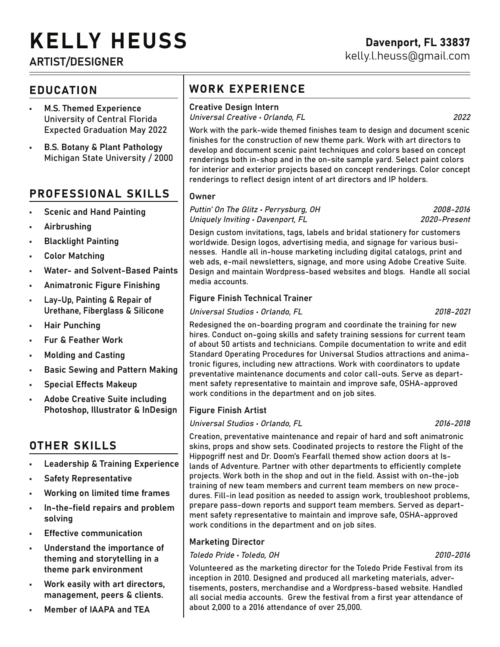# KELLY HEUSS

# ARTIST/DESIGNER

## EDUCATION

- M.S. Themed Experience University of Central Florida Expected Graduation May 2022
- B.S. Botany & Plant Pathology Michigan State University / 2000

## PROFESSIONAL SKILLS

- Scenic and Hand Painting
- Airbrushing
- Blacklight Painting
- Color Matching
- Water- and Solvent-Based Paints
- Animatronic Figure Finishing
- Lay-Up, Painting & Repair of Urethane, Fiberglass & Silicone
- Hair Punching
- Fur & Feather Work
- Molding and Casting
- Basic Sewing and Pattern Making
- Special Effects Makeup
- Adobe Creative Suite including Photoshop, Illustrator & InDesign

# OTHER SKILLS

- Leadership & Training Experience
- Safety Representative
- Working on limited time frames
- In-the-field repairs and problem solving
- **Effective communication**
- Understand the importance of theming and storytelling in a theme park environment
- Work easily with art directors, management, peers & clients.
- Member of IAAPA and TEA

# WORK EXPERIENCE

#### Creative Design Intern

Universal Creative • Orlando, FL 2022

Work with the park-wide themed finishes team to design and document scenic finishes for the construction of new theme park. Work with art directors to develop and document scenic paint techniques and colors based on concept renderings both in-shop and in the on-site sample yard. Select paint colors for interior and exterior projects based on concept renderings. Color concept renderings to reflect design intent of art directors and IP holders.

#### **Owner**

Puttin' On The Glitz • Perrysburg, OH 2008-2016 Uniquely Inviting • Davenport, FL 2020-Present

Design custom invitations, tags, labels and bridal stationery for customers worldwide. Design logos, advertising media, and signage for various businesses. Handle all in-house marketing including digital catalogs, print and web ads, e-mail newsletters, signage, and more using Adobe Creative Suite. Design and maintain Wordpress-based websites and blogs. Handle all social media accounts.

#### Figure Finish Technical Trainer

Universal Studios • Orlando, FL 2018-2021

Redesigned the on-boarding program and coordinate the training for new hires. Conduct on-going skills and safety training sessions for current team of about 50 artists and technicians. Compile documentation to write and edit Standard Operating Procedures for Universal Studios attractions and animatronic figures, including new attractions. Work with coordinators to update preventative maintenance documents and color call-outs. Serve as department safety representative to maintain and improve safe, OSHA-approved work conditions in the department and on job sites.

#### Figure Finish Artist

Universal Studios • Orlando, FL 2016-2018

Creation, preventative maintenance and repair of hard and soft animatronic skins, props and show sets. Coodinated projects to restore the Flight of the Hippogriff nest and Dr. Doom's Fearfall themed show action doors at Islands of Adventure. Partner with other departments to efficiently complete projects. Work both in the shop and out in the field. Assist with on-the-job training of new team members and current team members on new procedures. Fill-in lead position as needed to assign work, troubleshoot problems, prepare pass-down reports and support team members. Served as department safety representative to maintain and improve safe, OSHA-approved work conditions in the department and on job sites.

#### Marketing Director

#### Toledo Pride • Toledo, OH 2010-2016

Volunteered as the marketing director for the Toledo Pride Festival from its inception in 2010. Designed and produced all marketing materials, advertisements, posters, merchandise and a Wordpress-based website. Handled all social media accounts. Grew the festival from a first year attendance of about 2,000 to a 2016 attendance of over 25,000.